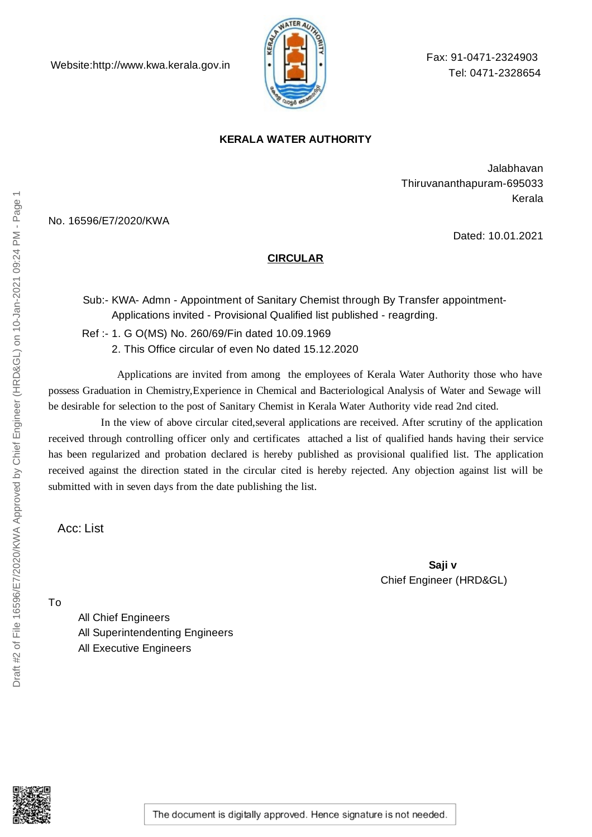

Fax: 91-0471-2324903 Tel: 0471-2328654

## **KERALA WATER AUTHORITY**

Jalabhavan Thiruvananthapuram-695033 Kerala

No. 16596/E7/2020/KWA

Dated: 10.01.2021

## **CIRCULAR**

Sub:- KWA- Admn - Appointment of Sanitary Chemist through By Transfer appointment-Applications invited - Provisional Qualified list published - reagrding.

Ref :- 1. G O(MS) No. 260/69/Fin dated 10.09.1969 2. This Office circular of even No dated 15.12.2020

Applications are invited from among the employees of Kerala Water Authority those who have possess Graduation in Chemistry,Experience in Chemical and Bacteriological Analysis of Water and Sewage will be desirable for selection to the post of Sanitary Chemist in Kerala Water Authority vide read 2nd cited.

In the view of above circular cited,several applications are received. After scrutiny of the application received through controlling officer only and certificates attached a list of qualified hands having their service has been regularized and probation declared is hereby published as provisional qualified list. The application received against the direction stated in the circular cited is hereby rejected. Any objection against list will be submitted with in seven days from the date publishing the list.

Acc: List

**Saji v** Chief Engineer (HRD&GL)

Draft #2 of File 16596/E7/2020/KWA Approved by Chief Engineer (HRD&GL) on 10-Jan-2021 09:24 PM - Page 1

Draft #2 of File 16596/E7/2020/KWA Approved by Chief Engineer (HRD&GL) on 10-Jan-2021 09:24 PM - Page

All Chief Engineers All Superintendenting Engineers All Executive Engineers

The document is digitally approved. Hence signature is not needed.